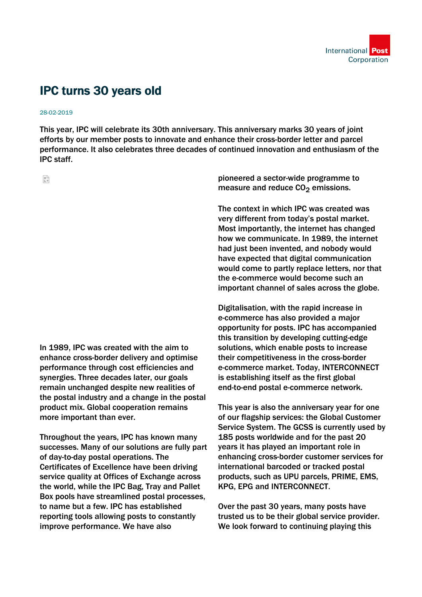

## IPC turns 30 years old

## 28-02-2019

This year, IPC will celebrate its 30th anniversary. This anniversary marks 30 years of joint efforts by our member posts to innovate and enhance their cross-border letter and parcel performance. It also celebrates three decades of continued innovation and enthusiasm of the IPC staff.

읇

In 1989, IPC was created with the aim to enhance cross-border delivery and optimise performance through cost efficiencies and synergies. Three decades later, our goals remain unchanged despite new realities of the postal industry and a change in the postal product mix. Global cooperation remains more important than ever.

Throughout the years, IPC has known many successes. Many of our solutions are fully part of day-to-day postal operations. The Certificates of Excellence have been driving service quality at Offices of Exchange across the world, while the IPC Bag, Tray and Pallet Box pools have streamlined postal processes, to name but a few. IPC has established reporting tools allowing posts to constantly improve performance. We have also

pioneered a sector-wide programme to measure and reduce  $CO<sub>2</sub>$  emissions.

The context in which IPC was created was very different from today's postal market. Most importantly, the internet has changed how we communicate. In 1989, the internet had just been invented, and nobody would have expected that digital communication would come to partly replace letters, nor that the e-commerce would become such an important channel of sales across the globe.

Digitalisation, with the rapid increase in e-commerce has also provided a major opportunity for posts. IPC has accompanied this transition by developing cutting-edge solutions, which enable posts to increase their competitiveness in the cross-border e-commerce market. Today, INTERCONNECT is establishing itself as the first global end-to-end postal e-commerce network.

This year is also the anniversary year for one of our flagship services: the Global Customer Service System. The GCSS is currently used by 185 posts worldwide and for the past 20 years it has played an important role in enhancing cross-border customer services for international barcoded or tracked postal products, such as UPU parcels, PRIME, EMS, KPG, EPG and INTERCONNECT.

Over the past 30 years, many posts have trusted us to be their global service provider. We look forward to continuing playing this